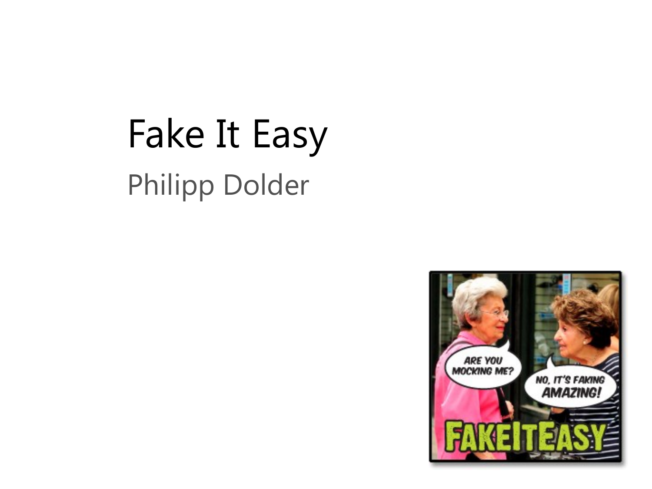## Fake It Easy Philipp Dolder

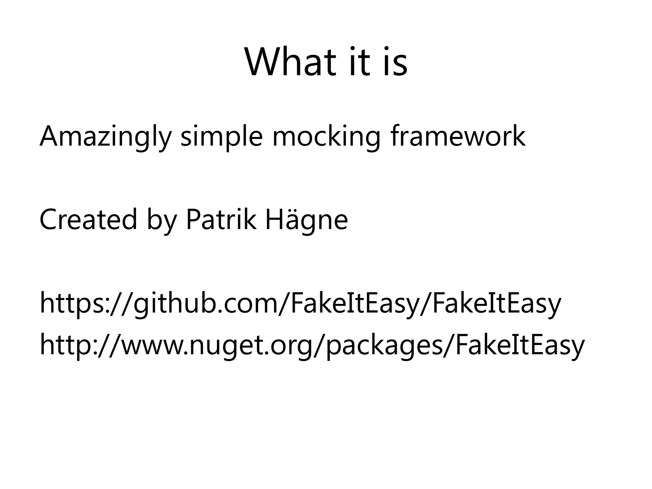## What it is

Amazingly simple mocking framework

Created by Patrik Hägne

https://github.com/FakeItEasy/FakeItEasy http://www.nuget.org/packages/FakeItEasy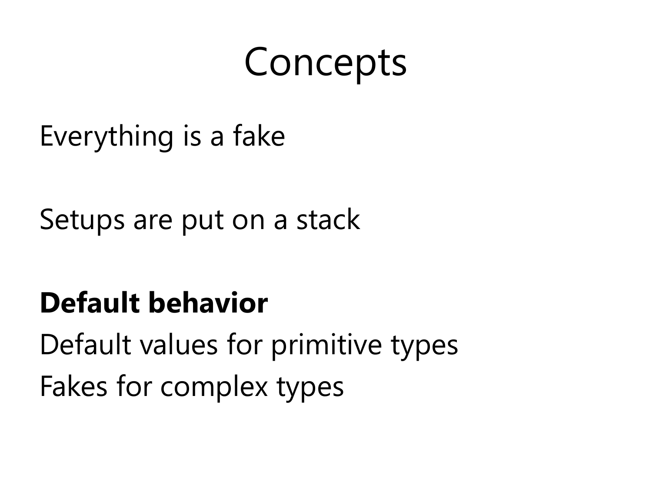### Concepts

Everything is a fake

Setups are put on a stack

#### **Default behavior**

Default values for primitive types Fakes for complex types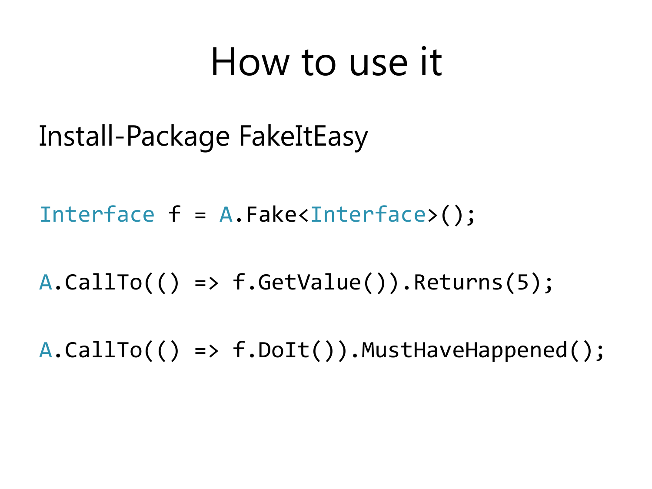### How to use it

Install-Package FakeItEasy

Interface f = A.Fake<Interface>();

 $A.CallTo() \Rightarrow f.GetValue()$ .Returns(5);

A.CallTo(() => f.DoIt()).MustHaveHappened();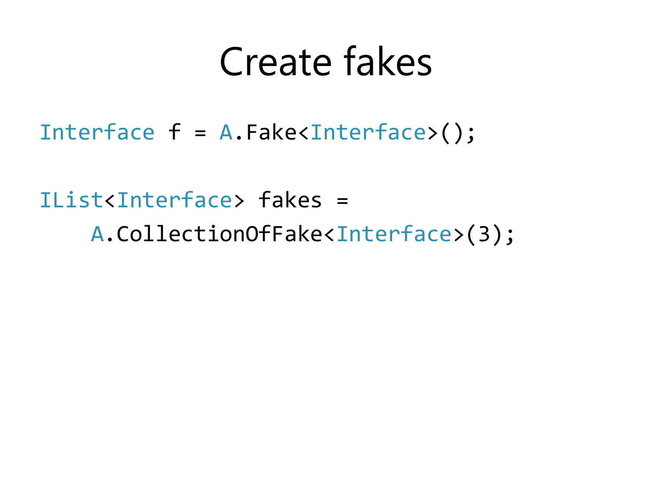### Create fakes

Interface f = A.Fake<Interface>();

IList<Interface> fakes = A.CollectionOfFake<Interface>(3);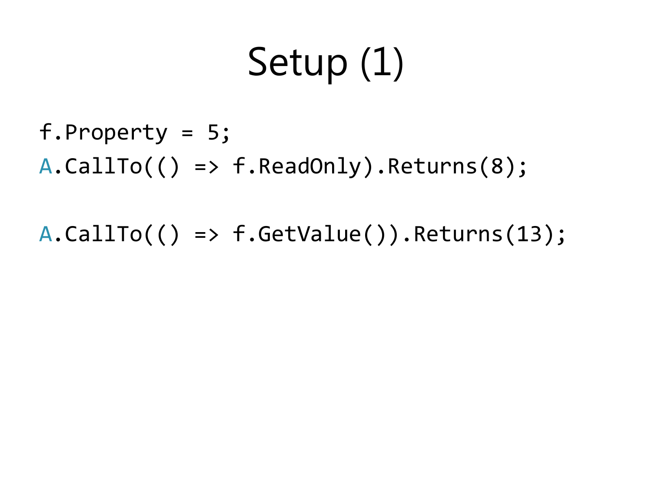# Setup (1)

f.Property = 5; A.CallTo(() => f.ReadOnly).Returns(8);

 $A.CallTo() \Rightarrow f.GetValue()$ .Returns(13);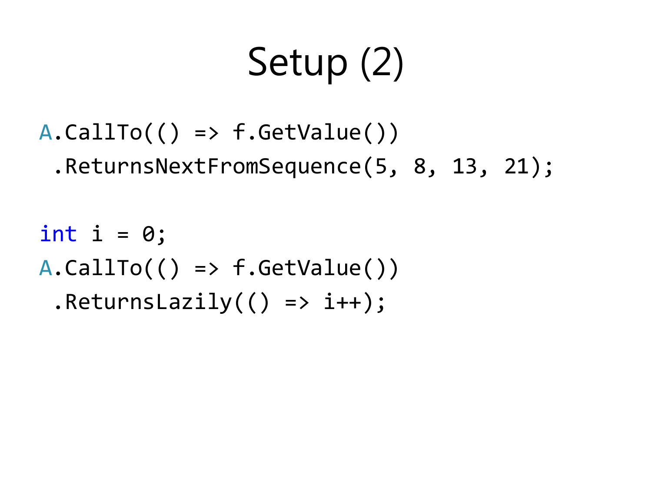# Setup (2)

A.CallTo(() => f.GetValue()) .ReturnsNextFromSequence(5, 8, 13, 21);

int i = 0; A.CallTo(() => f.GetValue()) .ReturnsLazily(() => i++);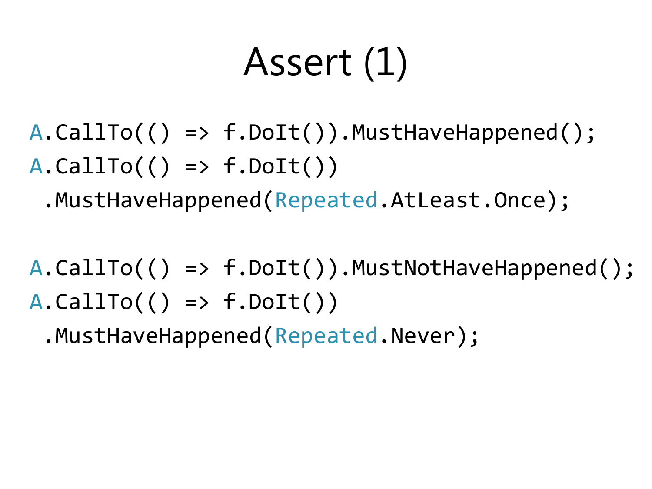## Assert (1)

A.CallTo(() => f.DoIt()).MustHaveHappened();  $A.CallTo$  () => f.DoIt())

.MustHaveHappened(Repeated.AtLeast.Once);

A.CallTo(() => f.DoIt()).MustNotHaveHappened();  $A.CallTo$  () => f.DoIt())

.MustHaveHappened(Repeated.Never);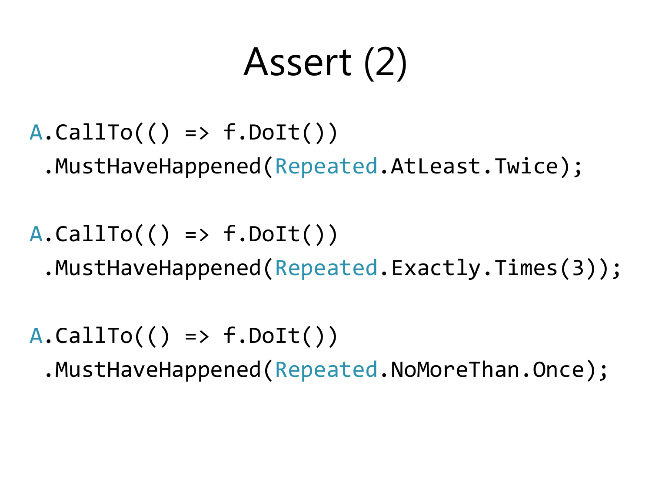## Assert (2)

 $A.CallTo() \Rightarrow f.Dolt()$ 

.MustHaveHappened(Repeated.AtLeast.Twice);

 $A.CallTo() \Rightarrow f.Dolt())$ .MustHaveHappened(Repeated.Exactly.Times(3));

 $A.CallTo$  () => f.DoIt())

.MustHaveHappened(Repeated.NoMoreThan.Once);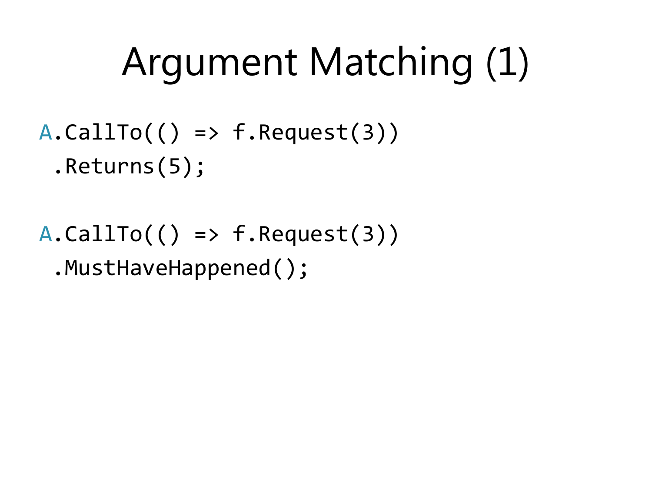# Argument Matching (1)

#### $A.CallTo$  () => f.Request(3)) .Returns(5);

#### $A.CallTo() \Rightarrow f.Request(3))$ .MustHaveHappened();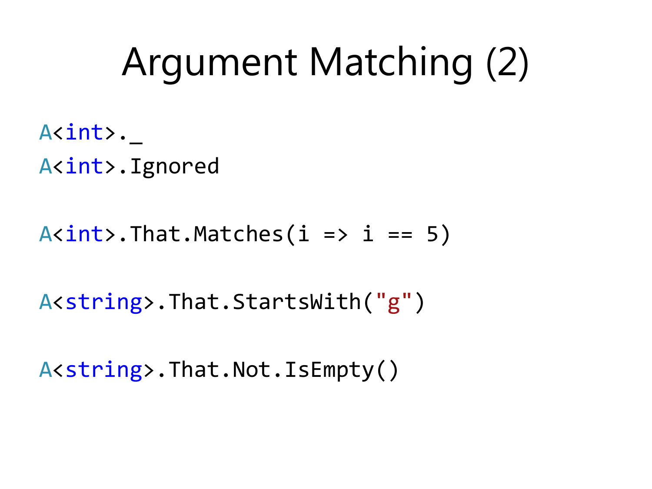# Argument Matching (2)

A<int>. A<int>.Ignored

 $A<sub>int</sub>$ .That.Matches(i => i == 5)

A<string>.That.StartsWith("g")

A<string>.That.Not.IsEmpty()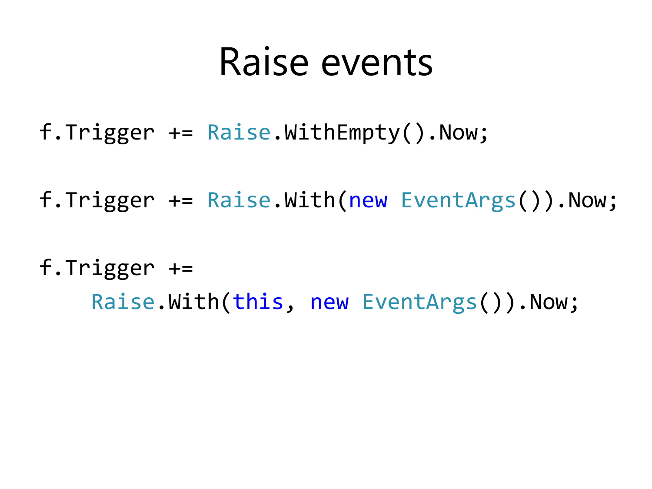### Raise events

- f.Trigger += Raise.WithEmpty().Now;
- f.Trigger += Raise.With(new EventArgs()).Now;

#### f.Trigger += Raise.With(this, new EventArgs()).Now;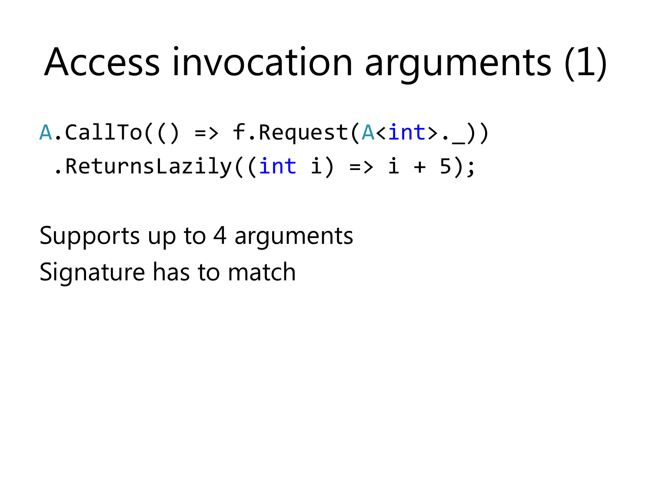## Access invocation arguments (1)

 $A.CallTo$   $( ) \Rightarrow f.Request(A*int* ) )$ .ReturnsLazily( $(int i) \Rightarrow i + 5);$ 

Supports up to 4 arguments Signature has to match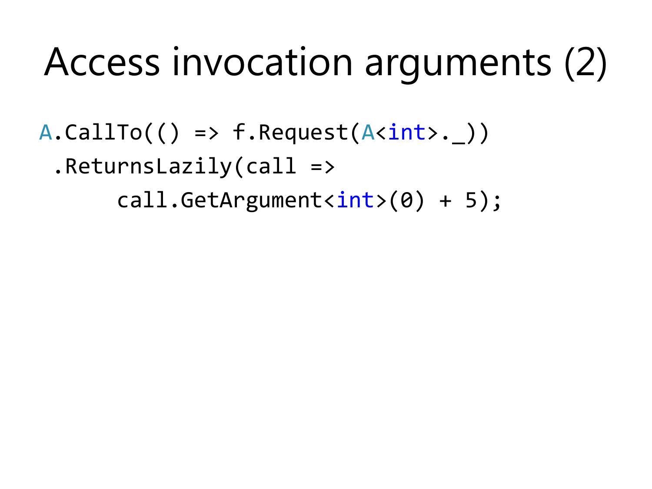# Access invocation arguments (2)

 $A.CallTo$   $( ) \Rightarrow f.Request(A*int*), )$ 

.ReturnsLazily(call =>

 $call.GetArgument(0) + 5$ ;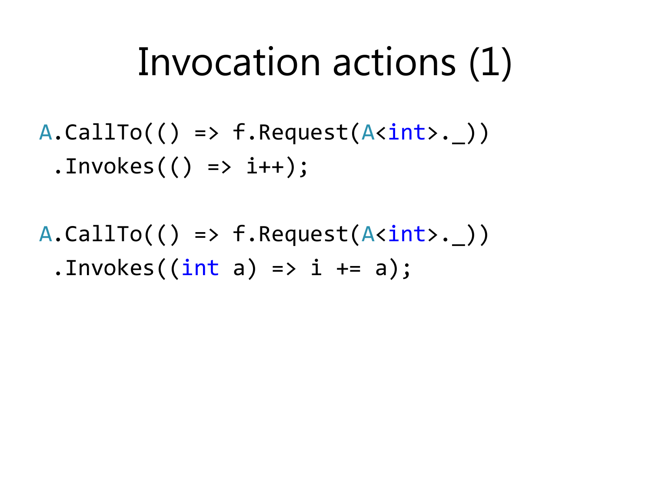### Invocation actions (1)

- $A.CallTo() \Rightarrow f.Request(A*int*), )$  $. Involes() \Rightarrow i++)$ ;
- $A.CallTo() \Rightarrow f.Request(A*int*), )$ .Invokes $((int a) \Rightarrow i \neq a);$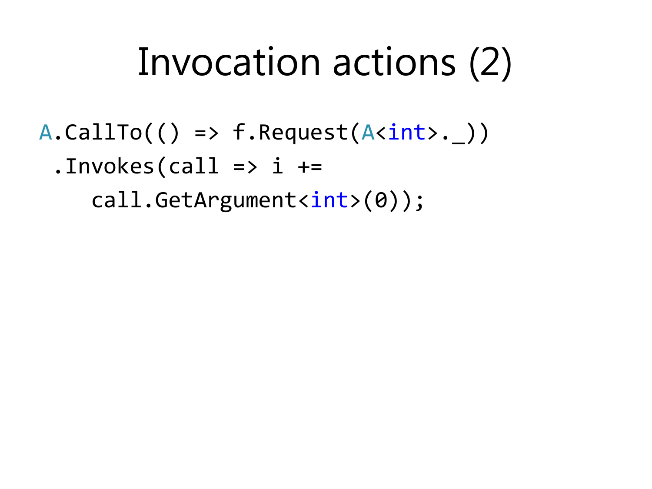## Invocation actions (2)

 $A.CallTo() \Rightarrow f.Request(A*int*), )$ 

 $.Involes(call \Rightarrow i +=$ 

call.GetArgument<int>(0));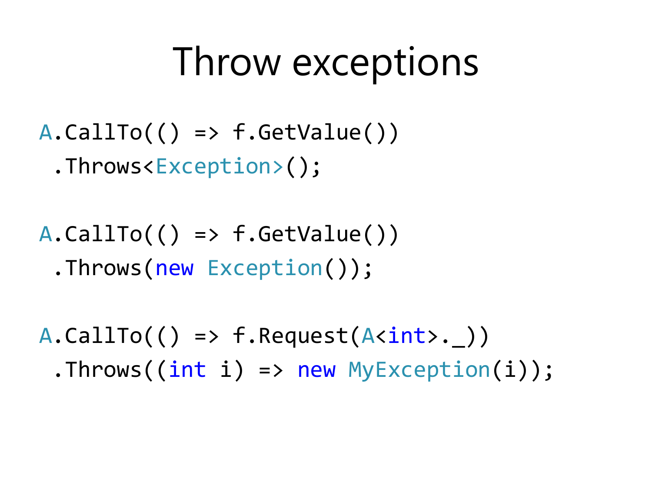### Throw exceptions

- $A.CallTo() \Rightarrow f.GetValue()$ 
	- .Throws<Exception>();
- $A.CallTo() \Rightarrow f.GetValue()$ .Throws(new Exception());

 $A.CallTo() \Rightarrow f.Request(A*int*), )$ .Throws((int i) => new MyException(i));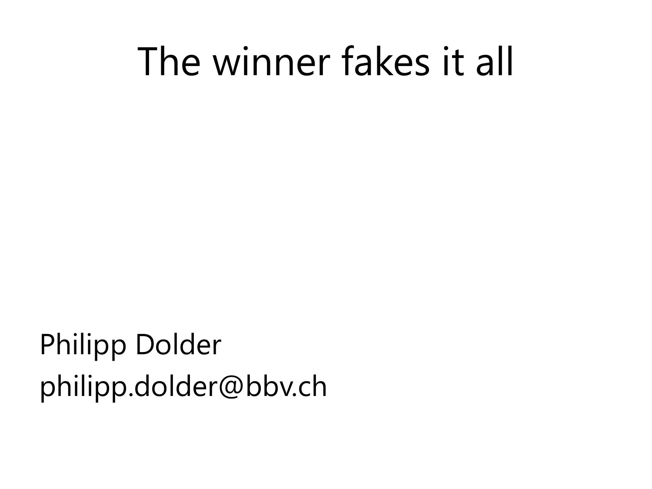### The winner fakes it all

Philipp Dolder philipp.dolder@bbv.ch